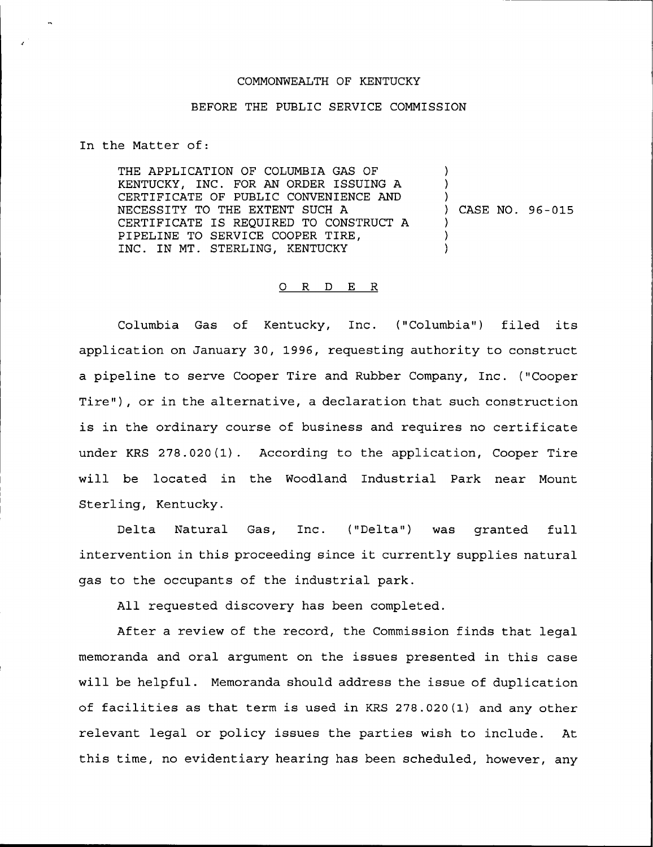## COMMONWEALTH OF KENTUCKY

## BEFORE THE PUBLIC SERVICE COMMISSION

In the Matter of:

THE APPLICATION OF COLUMBIA GAS OF KENTUCKY, INC. FOR AN ORDER ISSUING A CERTIFICATE OF PUBLIC CONVENIENCE AND NECESSITY TO THE EXTENT SUCH A CERTIFICATE IS REQUIRED TO CONSTRUCT <sup>A</sup> PIPELINE TO SERVICE COOPER TIRE, INC. IN MT. STERLING, KENTUCKY ) ) ) ) CASE NO. 96-015 ) ) )

## 0 <sup>R</sup> <sup>D</sup> E <sup>R</sup>

Columbia Gas of Kentucky, Inc. ("Columbia") filed its application on January 30, 1996, requesting authority to construct a pipeline to serve Cooper Tire and Rubber Company, Inc. ("Cooper Tire"), or in the alternative, a declaration that such construction is in the ordinary course of business and requires no certificate under KRS 278.020(1). According to the application, Cooper Tire will be located in the Woodland Industrial Park near Mount Sterling, Kentucky.

Delta Natural Gas, Inc. ("Delta") was granted full intervention in this proceeding since it currently supplies natural gas to the occupants of the industrial park.

All requested discovery has been completed.

After a review of the record, the Commission finds that legal memoranda and oral argument on the issues presented in this case will be helpful. Memoranda should address the issue of duplication of facilities as that term is used in KRS 278.020(1) and any other relevant legal or policy issues the parties wish to include. At this time, no evidentiary hearing has been scheduled, however, any